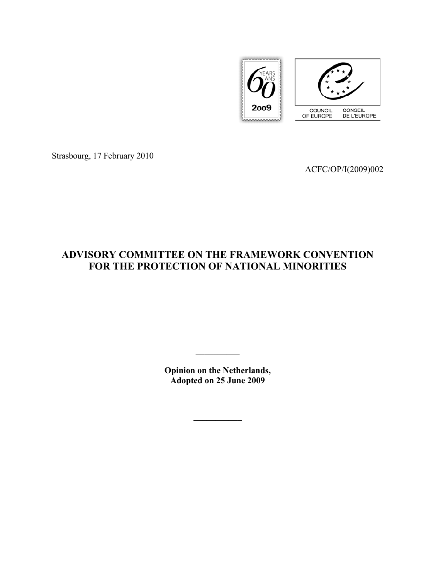

Strasbourg, 17 February 2010

ACFC/OP/I(2009)002

# **ADVISORY COMMITTEE ON THE FRAMEWORK CONVENTION FOR THE PROTECTION OF NATIONAL MINORITIES**

**Opinion on the Netherlands, Adopted on 25 June 2009** 

 $\frac{1}{2}$ 

 $\mathcal{L}_\text{max}$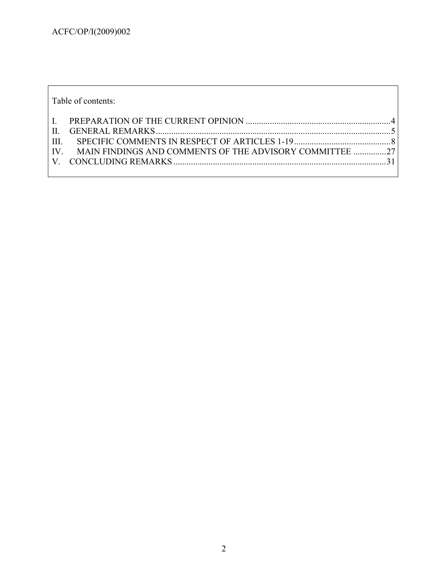| Table of contents: |                                                             |  |
|--------------------|-------------------------------------------------------------|--|
|                    |                                                             |  |
|                    |                                                             |  |
|                    |                                                             |  |
|                    | IV. MAIN FINDINGS AND COMMENTS OF THE ADVISORY COMMITTEE 27 |  |
|                    |                                                             |  |
|                    |                                                             |  |

٦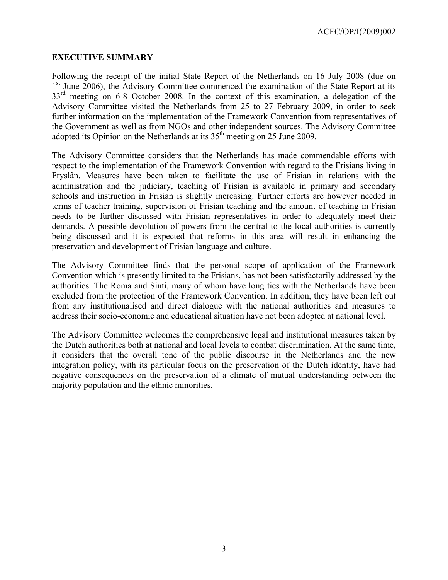#### **EXECUTIVE SUMMARY**

Following the receipt of the initial State Report of the Netherlands on 16 July 2008 (due on 1<sup>st</sup> June 2006), the Advisory Committee commenced the examination of the State Report at its 33<sup>rd</sup> meeting on 6-8 October 2008. In the context of this examination, a delegation of the Advisory Committee visited the Netherlands from 25 to 27 February 2009, in order to seek further information on the implementation of the Framework Convention from representatives of the Government as well as from NGOs and other independent sources. The Advisory Committee adopted its Opinion on the Netherlands at its  $35<sup>th</sup>$  meeting on 25 June 2009.

The Advisory Committee considers that the Netherlands has made commendable efforts with respect to the implementation of the Framework Convention with regard to the Frisians living in Fryslân. Measures have been taken to facilitate the use of Frisian in relations with the administration and the judiciary, teaching of Frisian is available in primary and secondary schools and instruction in Frisian is slightly increasing. Further efforts are however needed in terms of teacher training, supervision of Frisian teaching and the amount of teaching in Frisian needs to be further discussed with Frisian representatives in order to adequately meet their demands. A possible devolution of powers from the central to the local authorities is currently being discussed and it is expected that reforms in this area will result in enhancing the preservation and development of Frisian language and culture.

The Advisory Committee finds that the personal scope of application of the Framework Convention which is presently limited to the Frisians, has not been satisfactorily addressed by the authorities. The Roma and Sinti, many of whom have long ties with the Netherlands have been excluded from the protection of the Framework Convention. In addition, they have been left out from any institutionalised and direct dialogue with the national authorities and measures to address their socio-economic and educational situation have not been adopted at national level.

The Advisory Committee welcomes the comprehensive legal and institutional measures taken by the Dutch authorities both at national and local levels to combat discrimination. At the same time, it considers that the overall tone of the public discourse in the Netherlands and the new integration policy, with its particular focus on the preservation of the Dutch identity, have had negative consequences on the preservation of a climate of mutual understanding between the majority population and the ethnic minorities.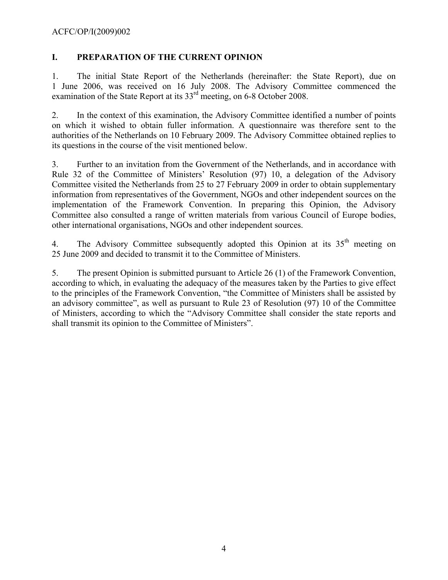### **I. PREPARATION OF THE CURRENT OPINION**

1. The initial State Report of the Netherlands (hereinafter: the State Report), due on 1 June 2006, was received on 16 July 2008. The Advisory Committee commenced the examination of the State Report at its  $33<sup>rd</sup>$  meeting, on 6-8 October 2008.

2. In the context of this examination, the Advisory Committee identified a number of points on which it wished to obtain fuller information. A questionnaire was therefore sent to the authorities of the Netherlands on 10 February 2009. The Advisory Committee obtained replies to its questions in the course of the visit mentioned below.

3. Further to an invitation from the Government of the Netherlands, and in accordance with Rule 32 of the Committee of Ministers' Resolution (97) 10, a delegation of the Advisory Committee visited the Netherlands from 25 to 27 February 2009 in order to obtain supplementary information from representatives of the Government, NGOs and other independent sources on the implementation of the Framework Convention. In preparing this Opinion, the Advisory Committee also consulted a range of written materials from various Council of Europe bodies, other international organisations, NGOs and other independent sources.

4. The Advisory Committee subsequently adopted this Opinion at its 35<sup>th</sup> meeting on 25 June 2009 and decided to transmit it to the Committee of Ministers.

5. The present Opinion is submitted pursuant to Article 26 (1) of the Framework Convention, according to which, in evaluating the adequacy of the measures taken by the Parties to give effect to the principles of the Framework Convention, "the Committee of Ministers shall be assisted by an advisory committee", as well as pursuant to Rule 23 of Resolution (97) 10 of the Committee of Ministers, according to which the "Advisory Committee shall consider the state reports and shall transmit its opinion to the Committee of Ministers".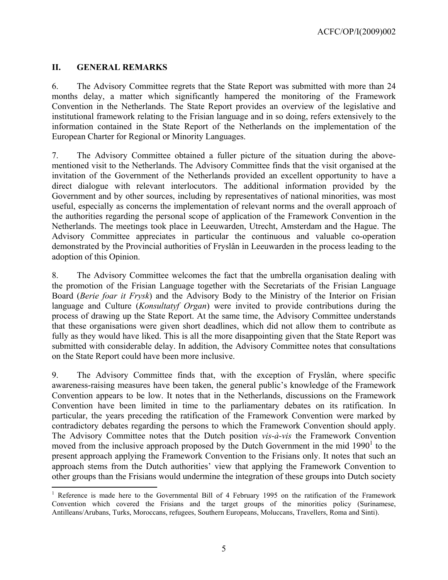### **II. GENERAL REMARKS**

 $\overline{a}$ 

6. The Advisory Committee regrets that the State Report was submitted with more than 24 months delay, a matter which significantly hampered the monitoring of the Framework Convention in the Netherlands. The State Report provides an overview of the legislative and institutional framework relating to the Frisian language and in so doing, refers extensively to the information contained in the State Report of the Netherlands on the implementation of the European Charter for Regional or Minority Languages.

7. The Advisory Committee obtained a fuller picture of the situation during the abovementioned visit to the Netherlands. The Advisory Committee finds that the visit organised at the invitation of the Government of the Netherlands provided an excellent opportunity to have a direct dialogue with relevant interlocutors. The additional information provided by the Government and by other sources, including by representatives of national minorities, was most useful, especially as concerns the implementation of relevant norms and the overall approach of the authorities regarding the personal scope of application of the Framework Convention in the Netherlands. The meetings took place in Leeuwarden, Utrecht, Amsterdam and the Hague. The Advisory Committee appreciates in particular the continuous and valuable co-operation demonstrated by the Provincial authorities of Fryslân in Leeuwarden in the process leading to the adoption of this Opinion.

8. The Advisory Committee welcomes the fact that the umbrella organisation dealing with the promotion of the Frisian Language together with the Secretariats of the Frisian Language Board (*Berie foar it Frysk*) and the Advisory Body to the Ministry of the Interior on Frisian language and Culture (*Konsultatyf Organ*) were invited to provide contributions during the process of drawing up the State Report. At the same time, the Advisory Committee understands that these organisations were given short deadlines, which did not allow them to contribute as fully as they would have liked. This is all the more disappointing given that the State Report was submitted with considerable delay. In addition, the Advisory Committee notes that consultations on the State Report could have been more inclusive.

9. The Advisory Committee finds that, with the exception of Fryslân, where specific awareness-raising measures have been taken, the general public's knowledge of the Framework Convention appears to be low. It notes that in the Netherlands, discussions on the Framework Convention have been limited in time to the parliamentary debates on its ratification. In particular, the years preceding the ratification of the Framework Convention were marked by contradictory debates regarding the persons to which the Framework Convention should apply. The Advisory Committee notes that the Dutch position *vis-à-vis* the Framework Convention moved from the inclusive approach proposed by the Dutch Government in the mid  $1990<sup>1</sup>$  to the present approach applying the Framework Convention to the Frisians only. It notes that such an approach stems from the Dutch authorities' view that applying the Framework Convention to other groups than the Frisians would undermine the integration of these groups into Dutch society

<sup>&</sup>lt;sup>1</sup> Reference is made here to the Governmental Bill of 4 February 1995 on the ratification of the Framework Convention which covered the Frisians and the target groups of the minorities policy (Surinamese, Antilleans/Arubans, Turks, Moroccans, refugees, Southern Europeans, Moluccans, Travellers, Roma and Sinti).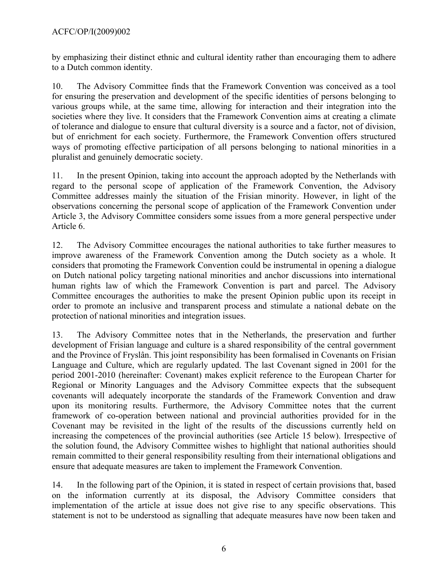by emphasizing their distinct ethnic and cultural identity rather than encouraging them to adhere to a Dutch common identity.

10. The Advisory Committee finds that the Framework Convention was conceived as a tool for ensuring the preservation and development of the specific identities of persons belonging to various groups while, at the same time, allowing for interaction and their integration into the societies where they live. It considers that the Framework Convention aims at creating a climate of tolerance and dialogue to ensure that cultural diversity is a source and a factor, not of division, but of enrichment for each society. Furthermore, the Framework Convention offers structured ways of promoting effective participation of all persons belonging to national minorities in a pluralist and genuinely democratic society.

11. In the present Opinion, taking into account the approach adopted by the Netherlands with regard to the personal scope of application of the Framework Convention, the Advisory Committee addresses mainly the situation of the Frisian minority. However, in light of the observations concerning the personal scope of application of the Framework Convention under Article 3, the Advisory Committee considers some issues from a more general perspective under Article 6.

12. The Advisory Committee encourages the national authorities to take further measures to improve awareness of the Framework Convention among the Dutch society as a whole. It considers that promoting the Framework Convention could be instrumental in opening a dialogue on Dutch national policy targeting national minorities and anchor discussions into international human rights law of which the Framework Convention is part and parcel. The Advisory Committee encourages the authorities to make the present Opinion public upon its receipt in order to promote an inclusive and transparent process and stimulate a national debate on the protection of national minorities and integration issues.

13. The Advisory Committee notes that in the Netherlands, the preservation and further development of Frisian language and culture is a shared responsibility of the central government and the Province of Fryslân. This joint responsibility has been formalised in Covenants on Frisian Language and Culture, which are regularly updated. The last Covenant signed in 2001 for the period 2001-2010 (hereinafter: Covenant) makes explicit reference to the European Charter for Regional or Minority Languages and the Advisory Committee expects that the subsequent covenants will adequately incorporate the standards of the Framework Convention and draw upon its monitoring results. Furthermore, the Advisory Committee notes that the current framework of co-operation between national and provincial authorities provided for in the Covenant may be revisited in the light of the results of the discussions currently held on increasing the competences of the provincial authorities (see Article 15 below). Irrespective of the solution found, the Advisory Committee wishes to highlight that national authorities should remain committed to their general responsibility resulting from their international obligations and ensure that adequate measures are taken to implement the Framework Convention.

14. In the following part of the Opinion, it is stated in respect of certain provisions that, based on the information currently at its disposal, the Advisory Committee considers that implementation of the article at issue does not give rise to any specific observations. This statement is not to be understood as signalling that adequate measures have now been taken and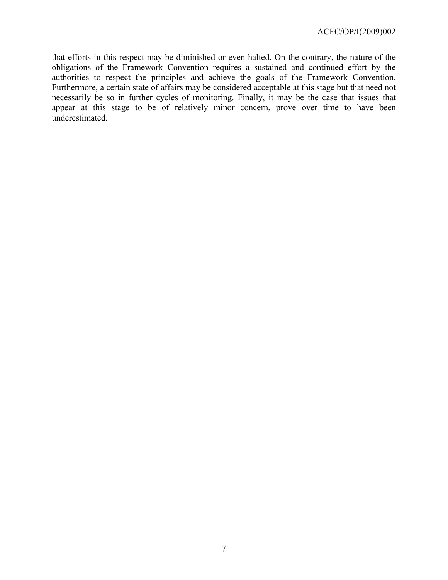that efforts in this respect may be diminished or even halted. On the contrary, the nature of the obligations of the Framework Convention requires a sustained and continued effort by the authorities to respect the principles and achieve the goals of the Framework Convention. Furthermore, a certain state of affairs may be considered acceptable at this stage but that need not necessarily be so in further cycles of monitoring. Finally, it may be the case that issues that appear at this stage to be of relatively minor concern, prove over time to have been underestimated.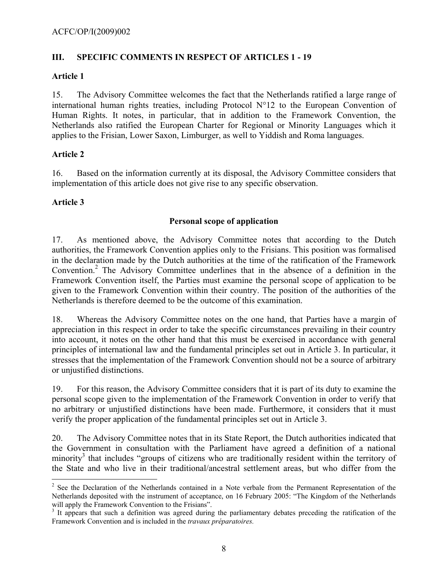# **III. SPECIFIC COMMENTS IN RESPECT OF ARTICLES 1 - 19**

### **Article 1**

15. The Advisory Committee welcomes the fact that the Netherlands ratified a large range of international human rights treaties, including Protocol N°12 to the European Convention of Human Rights. It notes, in particular, that in addition to the Framework Convention, the Netherlands also ratified the European Charter for Regional or Minority Languages which it applies to the Frisian, Lower Saxon, Limburger, as well to Yiddish and Roma languages.

# **Article 2**

16. Based on the information currently at its disposal, the Advisory Committee considers that implementation of this article does not give rise to any specific observation.

# **Article 3**

 $\overline{a}$ 

# **Personal scope of application**

17. As mentioned above, the Advisory Committee notes that according to the Dutch authorities, the Framework Convention applies only to the Frisians. This position was formalised in the declaration made by the Dutch authorities at the time of the ratification of the Framework Convention.<sup>2</sup> The Advisory Committee underlines that in the absence of a definition in the Framework Convention itself, the Parties must examine the personal scope of application to be given to the Framework Convention within their country. The position of the authorities of the Netherlands is therefore deemed to be the outcome of this examination.

18. Whereas the Advisory Committee notes on the one hand, that Parties have a margin of appreciation in this respect in order to take the specific circumstances prevailing in their country into account, it notes on the other hand that this must be exercised in accordance with general principles of international law and the fundamental principles set out in Article 3. In particular, it stresses that the implementation of the Framework Convention should not be a source of arbitrary or unjustified distinctions.

19. For this reason, the Advisory Committee considers that it is part of its duty to examine the personal scope given to the implementation of the Framework Convention in order to verify that no arbitrary or unjustified distinctions have been made. Furthermore, it considers that it must verify the proper application of the fundamental principles set out in Article 3.

20. The Advisory Committee notes that in its State Report, the Dutch authorities indicated that the Government in consultation with the Parliament have agreed a definition of a national minority<sup>3</sup> that includes "groups of citizens who are traditionally resident within the territory of the State and who live in their traditional/ancestral settlement areas, but who differ from the

 $2^2$  See the Declaration of the Netherlands contained in a Note verbale from the Permanent Representation of the Netherlands deposited with the instrument of acceptance, on 16 February 2005: "The Kingdom of the Netherlands will apply the Framework Convention to the Frisians".

<sup>&</sup>lt;sup>3</sup> It appears that such a definition was agreed during the parliamentary debates preceding the ratification of the Framework Convention and is included in the *travaux préparatoires.*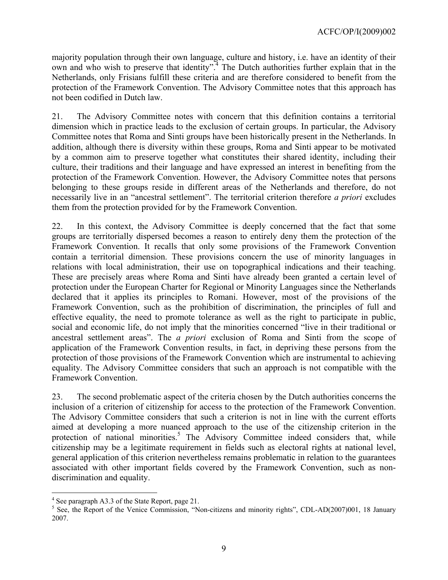majority population through their own language, culture and history, i.e. have an identity of their own and who wish to preserve that identity".<sup>4</sup> The Dutch authorities further explain that in the Netherlands, only Frisians fulfill these criteria and are therefore considered to benefit from the protection of the Framework Convention. The Advisory Committee notes that this approach has not been codified in Dutch law.

21. The Advisory Committee notes with concern that this definition contains a territorial dimension which in practice leads to the exclusion of certain groups. In particular, the Advisory Committee notes that Roma and Sinti groups have been historically present in the Netherlands. In addition, although there is diversity within these groups, Roma and Sinti appear to be motivated by a common aim to preserve together what constitutes their shared identity, including their culture, their traditions and their language and have expressed an interest in benefiting from the protection of the Framework Convention. However, the Advisory Committee notes that persons belonging to these groups reside in different areas of the Netherlands and therefore, do not necessarily live in an "ancestral settlement". The territorial criterion therefore *a priori* excludes them from the protection provided for by the Framework Convention.

22. In this context, the Advisory Committee is deeply concerned that the fact that some groups are territorially dispersed becomes a reason to entirely deny them the protection of the Framework Convention. It recalls that only some provisions of the Framework Convention contain a territorial dimension. These provisions concern the use of minority languages in relations with local administration, their use on topographical indications and their teaching. These are precisely areas where Roma and Sinti have already been granted a certain level of protection under the European Charter for Regional or Minority Languages since the Netherlands declared that it applies its principles to Romani. However, most of the provisions of the Framework Convention, such as the prohibition of discrimination, the principles of full and effective equality, the need to promote tolerance as well as the right to participate in public, social and economic life, do not imply that the minorities concerned "live in their traditional or ancestral settlement areas". The *a priori* exclusion of Roma and Sinti from the scope of application of the Framework Convention results, in fact, in depriving these persons from the protection of those provisions of the Framework Convention which are instrumental to achieving equality. The Advisory Committee considers that such an approach is not compatible with the Framework Convention.

23. The second problematic aspect of the criteria chosen by the Dutch authorities concerns the inclusion of a criterion of citizenship for access to the protection of the Framework Convention. The Advisory Committee considers that such a criterion is not in line with the current efforts aimed at developing a more nuanced approach to the use of the citizenship criterion in the protection of national minorities.<sup>5</sup> The Advisory Committee indeed considers that, while citizenship may be a legitimate requirement in fields such as electoral rights at national level, general application of this criterion nevertheless remains problematic in relation to the guarantees associated with other important fields covered by the Framework Convention, such as nondiscrimination and equality.

 $\overline{a}$ 

<sup>&</sup>lt;sup>4</sup> See paragraph A3.3 of the State Report, page 21.

<sup>&</sup>lt;sup>5</sup> See, the Report of the Venice Commission, "Non-citizens and minority rights", CDL-AD(2007)001, 18 January 2007.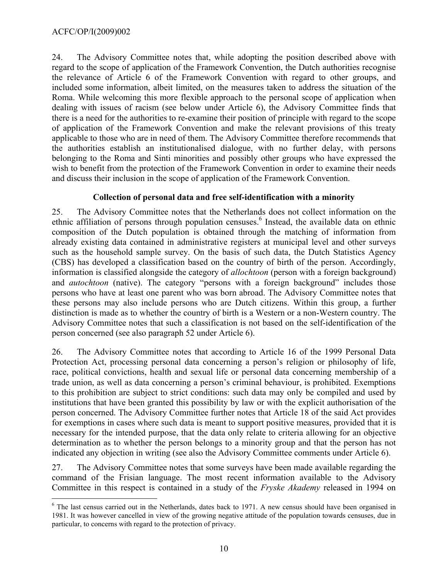$\overline{a}$ 

24. The Advisory Committee notes that, while adopting the position described above with regard to the scope of application of the Framework Convention, the Dutch authorities recognise the relevance of Article 6 of the Framework Convention with regard to other groups, and included some information, albeit limited, on the measures taken to address the situation of the Roma. While welcoming this more flexible approach to the personal scope of application when dealing with issues of racism (see below under Article 6), the Advisory Committee finds that there is a need for the authorities to re-examine their position of principle with regard to the scope of application of the Framework Convention and make the relevant provisions of this treaty applicable to those who are in need of them. The Advisory Committee therefore recommends that the authorities establish an institutionalised dialogue, with no further delay, with persons belonging to the Roma and Sinti minorities and possibly other groups who have expressed the wish to benefit from the protection of the Framework Convention in order to examine their needs and discuss their inclusion in the scope of application of the Framework Convention.

### **Collection of personal data and free self-identification with a minority**

25. The Advisory Committee notes that the Netherlands does not collect information on the ethnic affiliation of persons through population censuses.<sup>6</sup> Instead, the available data on ethnic composition of the Dutch population is obtained through the matching of information from already existing data contained in administrative registers at municipal level and other surveys such as the household sample survey. On the basis of such data, the Dutch Statistics Agency (CBS) has developed a classification based on the country of birth of the person. Accordingly, information is classified alongside the category of *allochtoon* (person with a foreign background) and *autochtoon* (native). The category "persons with a foreign background" includes those persons who have at least one parent who was born abroad. The Advisory Committee notes that these persons may also include persons who are Dutch citizens. Within this group, a further distinction is made as to whether the country of birth is a Western or a non-Western country. The Advisory Committee notes that such a classification is not based on the self-identification of the person concerned (see also paragraph 52 under Article 6).

26. The Advisory Committee notes that according to Article 16 of the 1999 Personal Data Protection Act, processing personal data concerning a person's religion or philosophy of life, race, political convictions, health and sexual life or personal data concerning membership of a trade union, as well as data concerning a person's criminal behaviour, is prohibited. Exemptions to this prohibition are subject to strict conditions: such data may only be compiled and used by institutions that have been granted this possibility by law or with the explicit authorisation of the person concerned. The Advisory Committee further notes that Article 18 of the said Act provides for exemptions in cases where such data is meant to support positive measures, provided that it is necessary for the intended purpose, that the data only relate to criteria allowing for an objective determination as to whether the person belongs to a minority group and that the person has not indicated any objection in writing (see also the Advisory Committee comments under Article 6).

27. The Advisory Committee notes that some surveys have been made available regarding the command of the Frisian language. The most recent information available to the Advisory Committee in this respect is contained in a study of the *Fryske Akademy* released in 1994 on

<sup>&</sup>lt;sup>6</sup> The last census carried out in the Netherlands, dates back to 1971. A new census should have been organised in 1981. It was however cancelled in view of the growing negative attitude of the population towards censuses, due in particular, to concerns with regard to the protection of privacy.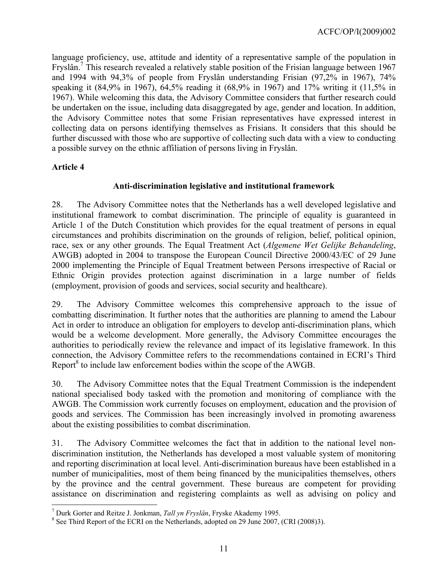language proficiency, use, attitude and identity of a representative sample of the population in Fryslân.<sup>7</sup> This research revealed a relatively stable position of the Frisian language between 1967 and 1994 with 94,3% of people from Fryslân understanding Frisian (97,2% in 1967), 74% speaking it (84,9% in 1967), 64,5% reading it (68,9% in 1967) and 17% writing it (11,5% in 1967). While welcoming this data, the Advisory Committee considers that further research could be undertaken on the issue, including data disaggregated by age, gender and location. In addition, the Advisory Committee notes that some Frisian representatives have expressed interest in collecting data on persons identifying themselves as Frisians. It considers that this should be further discussed with those who are supportive of collecting such data with a view to conducting a possible survey on the ethnic affiliation of persons living in Fryslân.

# **Article 4**

 $\overline{a}$ 

# **Anti-discrimination legislative and institutional framework**

28. The Advisory Committee notes that the Netherlands has a well developed legislative and institutional framework to combat discrimination. The principle of equality is guaranteed in Article 1 of the Dutch Constitution which provides for the equal treatment of persons in equal circumstances and prohibits discrimination on the grounds of religion, belief, political opinion, race, sex or any other grounds. The Equal Treatment Act (*Algemene Wet Gelijke Behandeling*, AWGB) adopted in 2004 to transpose the European Council Directive 2000/43/EC of 29 June 2000 implementing the Principle of Equal Treatment between Persons irrespective of Racial or Ethnic Origin provides protection against discrimination in a large number of fields (employment, provision of goods and services, social security and healthcare).

29. The Advisory Committee welcomes this comprehensive approach to the issue of combatting discrimination. It further notes that the authorities are planning to amend the Labour Act in order to introduce an obligation for employers to develop anti-discrimination plans, which would be a welcome development. More generally, the Advisory Committee encourages the authorities to periodically review the relevance and impact of its legislative framework. In this connection, the Advisory Committee refers to the recommendations contained in ECRI's Third Report $^8$  to include law enforcement bodies within the scope of the AWGB.

30. The Advisory Committee notes that the Equal Treatment Commission is the independent national specialised body tasked with the promotion and monitoring of compliance with the AWGB. The Commission work currently focuses on employment, education and the provision of goods and services. The Commission has been increasingly involved in promoting awareness about the existing possibilities to combat discrimination.

31. The Advisory Committee welcomes the fact that in addition to the national level nondiscrimination institution, the Netherlands has developed a most valuable system of monitoring and reporting discrimination at local level. Anti-discrimination bureaus have been established in a number of municipalities, most of them being financed by the municipalities themselves, others by the province and the central government. These bureaus are competent for providing assistance on discrimination and registering complaints as well as advising on policy and

<sup>&</sup>lt;sup>7</sup> Durk Gorter and Reitze J. Jonkman, *Tall yn Fryslân*, Fryske Akademy 1995.<br><sup>8</sup> See Third Benert of the ECBJ en the Netherlands, adented en 20 June 2007.

<sup>&</sup>lt;sup>8</sup> See Third Report of the ECRI on the Netherlands, adopted on 29 June 2007, (CRI (2008)3).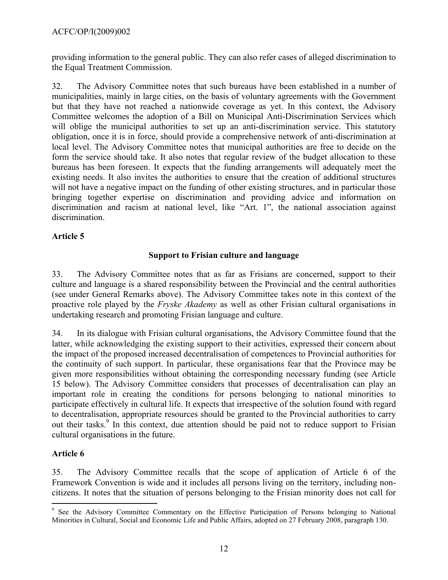providing information to the general public. They can also refer cases of alleged discrimination to the Equal Treatment Commission.

32. The Advisory Committee notes that such bureaus have been established in a number of municipalities, mainly in large cities, on the basis of voluntary agreements with the Government but that they have not reached a nationwide coverage as yet. In this context, the Advisory Committee welcomes the adoption of a Bill on Municipal Anti-Discrimination Services which will oblige the municipal authorities to set up an anti-discrimination service. This statutory obligation, once it is in force, should provide a comprehensive network of anti-discrimination at local level. The Advisory Committee notes that municipal authorities are free to decide on the form the service should take. It also notes that regular review of the budget allocation to these bureaus has been foreseen. It expects that the funding arrangements will adequately meet the existing needs. It also invites the authorities to ensure that the creation of additional structures will not have a negative impact on the funding of other existing structures, and in particular those bringing together expertise on discrimination and providing advice and information on discrimination and racism at national level, like "Art. 1", the national association against discrimination.

# **Article 5**

# **Support to Frisian culture and language**

33. The Advisory Committee notes that as far as Frisians are concerned, support to their culture and language is a shared responsibility between the Provincial and the central authorities (see under General Remarks above). The Advisory Committee takes note in this context of the proactive role played by the *Fryske Akademy* as well as other Frisian cultural organisations in undertaking research and promoting Frisian language and culture.

34. In its dialogue with Frisian cultural organisations, the Advisory Committee found that the latter, while acknowledging the existing support to their activities, expressed their concern about the impact of the proposed increased decentralisation of competences to Provincial authorities for the continuity of such support. In particular, these organisations fear that the Province may be given more responsibilities without obtaining the corresponding necessary funding (see Article 15 below). The Advisory Committee considers that processes of decentralisation can play an important role in creating the conditions for persons belonging to national minorities to participate effectively in cultural life. It expects that irrespective of the solution found with regard to decentralisation, appropriate resources should be granted to the Provincial authorities to carry out their tasks.<sup>9</sup> In this context, due attention should be paid not to reduce support to Frisian cultural organisations in the future.

# **Article 6**

35. The Advisory Committee recalls that the scope of application of Article 6 of the Framework Convention is wide and it includes all persons living on the territory, including noncitizens. It notes that the situation of persons belonging to the Frisian minority does not call for

 $\overline{a}$ <sup>9</sup> See the Advisory Committee Commentary on the Effective Participation of Persons belonging to National Minorities in Cultural, Social and Economic Life and Public Affairs, adopted on 27 February 2008, paragraph 130.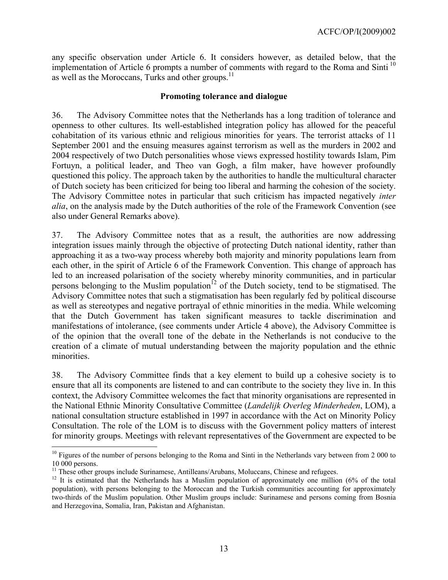any specific observation under Article 6. It considers however, as detailed below, that the implementation of Article 6 prompts a number of comments with regard to the Roma and Sinti<sup>10</sup> as well as the Moroccans, Turks and other groups.<sup>11</sup>

#### **Promoting tolerance and dialogue**

36. The Advisory Committee notes that the Netherlands has a long tradition of tolerance and openness to other cultures. Its well-established integration policy has allowed for the peaceful cohabitation of its various ethnic and religious minorities for years. The terrorist attacks of 11 September 2001 and the ensuing measures against terrorism as well as the murders in 2002 and 2004 respectively of two Dutch personalities whose views expressed hostility towards Islam, Pim Fortuyn, a political leader, and Theo van Gogh, a film maker, have however profoundly questioned this policy. The approach taken by the authorities to handle the multicultural character of Dutch society has been criticized for being too liberal and harming the cohesion of the society. The Advisory Committee notes in particular that such criticism has impacted negatively *inter alia*, on the analysis made by the Dutch authorities of the role of the Framework Convention (see also under General Remarks above).

37. The Advisory Committee notes that as a result, the authorities are now addressing integration issues mainly through the objective of protecting Dutch national identity, rather than approaching it as a two-way process whereby both majority and minority populations learn from each other, in the spirit of Article 6 of the Framework Convention. This change of approach has led to an increased polarisation of the society whereby minority communities, and in particular persons belonging to the Muslim population<sup> $12$ </sup> of the Dutch society, tend to be stigmatised. The Advisory Committee notes that such a stigmatisation has been regularly fed by political discourse as well as stereotypes and negative portrayal of ethnic minorities in the media. While welcoming that the Dutch Government has taken significant measures to tackle discrimination and manifestations of intolerance, (see comments under Article 4 above), the Advisory Committee is of the opinion that the overall tone of the debate in the Netherlands is not conducive to the creation of a climate of mutual understanding between the majority population and the ethnic minorities.

38. The Advisory Committee finds that a key element to build up a cohesive society is to ensure that all its components are listened to and can contribute to the society they live in. In this context, the Advisory Committee welcomes the fact that minority organisations are represented in the National Ethnic Minority Consultative Committee (*Landelijk Overleg Minderheden*, LOM), a national consultation structure established in 1997 in accordance with the Act on Minority Policy Consultation. The role of the LOM is to discuss with the Government policy matters of interest for minority groups. Meetings with relevant representatives of the Government are expected to be

 $\overline{a}$ 

 $10$  Figures of the number of persons belonging to the Roma and Sinti in the Netherlands vary between from 2 000 to 10 000 persons.<br><sup>11</sup> These other groups include Surinamese, Antilleans/Arubans, Moluccans, Chinese and refugees.

<sup>&</sup>lt;sup>12</sup> It is estimated that the Netherlands has a Muslim population of approximately one million (6% of the total population), with persons belonging to the Moroccan and the Turkish communities accounting for approximately two-thirds of the Muslim population. Other Muslim groups include: Surinamese and persons coming from Bosnia and Herzegovina, Somalia, Iran, Pakistan and Afghanistan.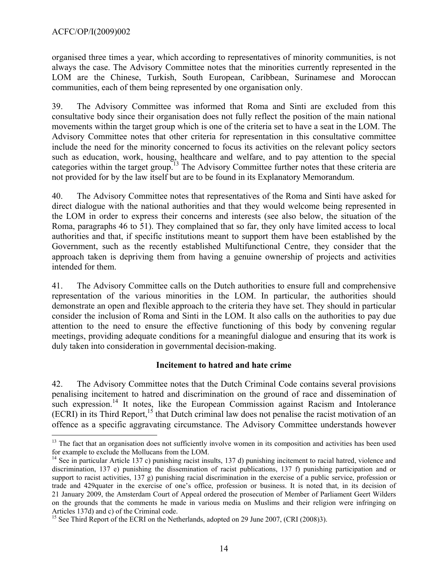$\overline{a}$ 

organised three times a year, which according to representatives of minority communities, is not always the case. The Advisory Committee notes that the minorities currently represented in the LOM are the Chinese, Turkish, South European, Caribbean, Surinamese and Moroccan communities, each of them being represented by one organisation only.

39. The Advisory Committee was informed that Roma and Sinti are excluded from this consultative body since their organisation does not fully reflect the position of the main national movements within the target group which is one of the criteria set to have a seat in the LOM. The Advisory Committee notes that other criteria for representation in this consultative committee include the need for the minority concerned to focus its activities on the relevant policy sectors such as education, work, housing, healthcare and welfare, and to pay attention to the special categories within the target group.<sup>13</sup> The Advisory Committee further notes that these criteria are not provided for by the law itself but are to be found in its Explanatory Memorandum.

40. The Advisory Committee notes that representatives of the Roma and Sinti have asked for direct dialogue with the national authorities and that they would welcome being represented in the LOM in order to express their concerns and interests (see also below, the situation of the Roma, paragraphs 46 to 51). They complained that so far, they only have limited access to local authorities and that, if specific institutions meant to support them have been established by the Government, such as the recently established Multifunctional Centre, they consider that the approach taken is depriving them from having a genuine ownership of projects and activities intended for them.

41. The Advisory Committee calls on the Dutch authorities to ensure full and comprehensive representation of the various minorities in the LOM. In particular, the authorities should demonstrate an open and flexible approach to the criteria they have set. They should in particular consider the inclusion of Roma and Sinti in the LOM. It also calls on the authorities to pay due attention to the need to ensure the effective functioning of this body by convening regular meetings, providing adequate conditions for a meaningful dialogue and ensuring that its work is duly taken into consideration in governmental decision-making.

#### **Incitement to hatred and hate crime**

42. The Advisory Committee notes that the Dutch Criminal Code contains several provisions penalising incitement to hatred and discrimination on the ground of race and dissemination of such expression.<sup>14</sup> It notes, like the European Commission against Racism and Intolerance  $(ECRI)$  in its Third Report,<sup>15</sup> that Dutch criminal law does not penalise the racist motivation of an offence as a specific aggravating circumstance. The Advisory Committee understands however

 $13$  The fact that an organisation does not sufficiently involve women in its composition and activities has been used for example to exclude the Mollucans from the LOM.<br><sup>14</sup> See in particular Article 137 c) punishing racist insults, 137 d) punishing incitement to racial hatred, violence and

discrimination, 137 e) punishing the dissemination of racist publications, 137 f) punishing participation and or support to racist activities, 137 g) punishing racial discrimination in the exercise of a public service, profession or trade and 429quater in the exercise of one's office, profession or business. It is noted that, in its decision of 21 January 2009, the Amsterdam Court of Appeal ordered the prosecution of Member of Parliament Geert Wilders on the grounds that the comments he made in various media on Muslims and their religion were infringing on Articles 137d) and c) of the Criminal code.

<sup>&</sup>lt;sup>15</sup> See Third Report of the ECRI on the Netherlands, adopted on 29 June 2007, (CRI (2008)3).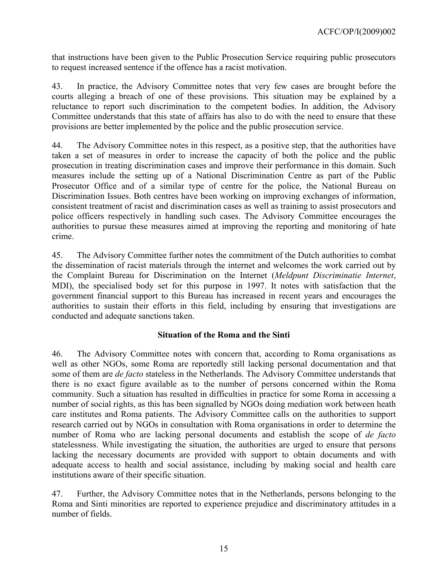that instructions have been given to the Public Prosecution Service requiring public prosecutors to request increased sentence if the offence has a racist motivation.

43. In practice, the Advisory Committee notes that very few cases are brought before the courts alleging a breach of one of these provisions. This situation may be explained by a reluctance to report such discrimination to the competent bodies. In addition, the Advisory Committee understands that this state of affairs has also to do with the need to ensure that these provisions are better implemented by the police and the public prosecution service.

44. The Advisory Committee notes in this respect, as a positive step, that the authorities have taken a set of measures in order to increase the capacity of both the police and the public prosecution in treating discrimination cases and improve their performance in this domain. Such measures include the setting up of a National Discrimination Centre as part of the Public Prosecutor Office and of a similar type of centre for the police, the National Bureau on Discrimination Issues. Both centres have been working on improving exchanges of information, consistent treatment of racist and discrimination cases as well as training to assist prosecutors and police officers respectively in handling such cases. The Advisory Committee encourages the authorities to pursue these measures aimed at improving the reporting and monitoring of hate crime.

45. The Advisory Committee further notes the commitment of the Dutch authorities to combat the dissemination of racist materials through the internet and welcomes the work carried out by the Complaint Bureau for Discrimination on the Internet (*Meldpunt Discriminatie Internet*, MDI), the specialised body set for this purpose in 1997. It notes with satisfaction that the government financial support to this Bureau has increased in recent years and encourages the authorities to sustain their efforts in this field, including by ensuring that investigations are conducted and adequate sanctions taken.

# **Situation of the Roma and the Sinti**

46. The Advisory Committee notes with concern that, according to Roma organisations as well as other NGOs, some Roma are reportedly still lacking personal documentation and that some of them are *de facto* stateless in the Netherlands. The Advisory Committee understands that there is no exact figure available as to the number of persons concerned within the Roma community. Such a situation has resulted in difficulties in practice for some Roma in accessing a number of social rights, as this has been signalled by NGOs doing mediation work between heath care institutes and Roma patients. The Advisory Committee calls on the authorities to support research carried out by NGOs in consultation with Roma organisations in order to determine the number of Roma who are lacking personal documents and establish the scope of *de facto* statelessness. While investigating the situation, the authorities are urged to ensure that persons lacking the necessary documents are provided with support to obtain documents and with adequate access to health and social assistance, including by making social and health care institutions aware of their specific situation.

47. Further, the Advisory Committee notes that in the Netherlands, persons belonging to the Roma and Sinti minorities are reported to experience prejudice and discriminatory attitudes in a number of fields.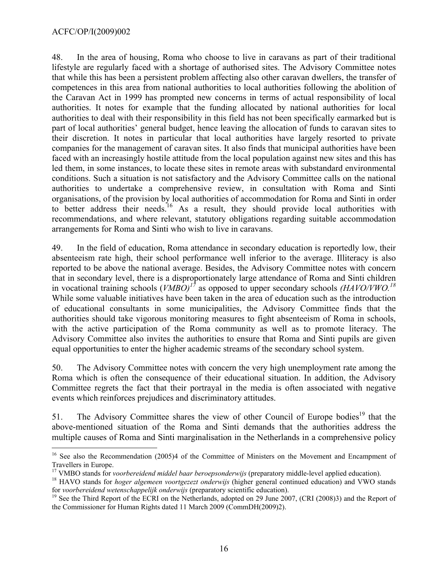$\overline{a}$ 

48. In the area of housing, Roma who choose to live in caravans as part of their traditional lifestyle are regularly faced with a shortage of authorised sites. The Advisory Committee notes that while this has been a persistent problem affecting also other caravan dwellers, the transfer of competences in this area from national authorities to local authorities following the abolition of the Caravan Act in 1999 has prompted new concerns in terms of actual responsibility of local authorities. It notes for example that the funding allocated by national authorities for local authorities to deal with their responsibility in this field has not been specifically earmarked but is part of local authorities' general budget, hence leaving the allocation of funds to caravan sites to their discretion. It notes in particular that local authorities have largely resorted to private companies for the management of caravan sites. It also finds that municipal authorities have been faced with an increasingly hostile attitude from the local population against new sites and this has led them, in some instances, to locate these sites in remote areas with substandard environmental conditions. Such a situation is not satisfactory and the Advisory Committee calls on the national authorities to undertake a comprehensive review, in consultation with Roma and Sinti organisations, of the provision by local authorities of accommodation for Roma and Sinti in order to better address their needs.<sup>16</sup> As a result, they should provide local authorities with recommendations, and where relevant, statutory obligations regarding suitable accommodation arrangements for Roma and Sinti who wish to live in caravans.

49. In the field of education, Roma attendance in secondary education is reportedly low, their absenteeism rate high, their school performance well inferior to the average. Illiteracy is also reported to be above the national average. Besides, the Advisory Committee notes with concern that in secondary level, there is a disproportionately large attendance of Roma and Sinti children in vocational training schools (*VMBO)17* as opposed to upper secondary schools *(HAVO/VWO.<sup>18</sup>* While some valuable initiatives have been taken in the area of education such as the introduction of educational consultants in some municipalities, the Advisory Committee finds that the authorities should take vigorous monitoring measures to fight absenteeism of Roma in schools, with the active participation of the Roma community as well as to promote literacy. The Advisory Committee also invites the authorities to ensure that Roma and Sinti pupils are given equal opportunities to enter the higher academic streams of the secondary school system.

50. The Advisory Committee notes with concern the very high unemployment rate among the Roma which is often the consequence of their educational situation. In addition, the Advisory Committee regrets the fact that their portrayal in the media is often associated with negative events which reinforces prejudices and discriminatory attitudes.

51. The Advisory Committee shares the view of other Council of Europe bodies<sup>19</sup> that the above-mentioned situation of the Roma and Sinti demands that the authorities address the multiple causes of Roma and Sinti marginalisation in the Netherlands in a comprehensive policy

<sup>&</sup>lt;sup>16</sup> See also the Recommendation (2005)4 of the Committee of Ministers on the Movement and Encampment of Travellers in Europe.<br><sup>17</sup> VMBO stands for *voorbereidend middel baar beroepsonderwijs* (preparatory middle-level applied education).

 $^{18}$  HAVO stands for *hoger algemeen voortgezezt onderwijs* (higher general continued education) and VWO stands for *voorbereidend wetenschappelijk onderwijs* (preparatory scientific education).

<sup>&</sup>lt;sup>19</sup> See the Third Report of the ECRI on the Netherlands, adopted on 29 June 2007, (CRI (2008)3) and the Report of the Commissioner for Human Rights dated 11 March 2009 (CommDH(2009)2).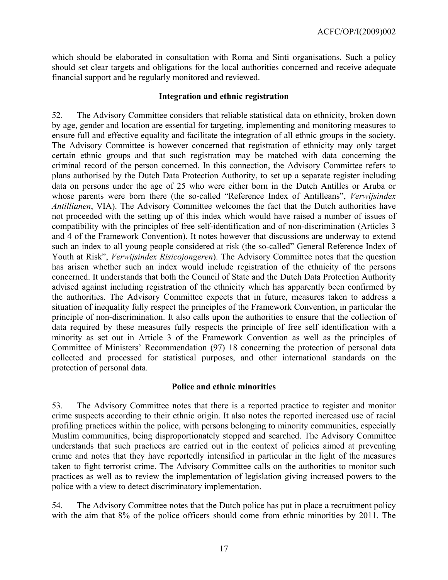which should be elaborated in consultation with Roma and Sinti organisations. Such a policy should set clear targets and obligations for the local authorities concerned and receive adequate financial support and be regularly monitored and reviewed.

#### **Integration and ethnic registration**

52. The Advisory Committee considers that reliable statistical data on ethnicity, broken down by age, gender and location are essential for targeting, implementing and monitoring measures to ensure full and effective equality and facilitate the integration of all ethnic groups in the society. The Advisory Committee is however concerned that registration of ethnicity may only target certain ethnic groups and that such registration may be matched with data concerning the criminal record of the person concerned. In this connection, the Advisory Committee refers to plans authorised by the Dutch Data Protection Authority, to set up a separate register including data on persons under the age of 25 who were either born in the Dutch Antilles or Aruba or whose parents were born there (the so-called "Reference Index of Antilleans", *Verwijsindex Antillianen*, VIA). The Advisory Committee welcomes the fact that the Dutch authorities have not proceeded with the setting up of this index which would have raised a number of issues of compatibility with the principles of free self-identification and of non-discrimination (Articles 3 and 4 of the Framework Convention). It notes however that discussions are underway to extend such an index to all young people considered at risk (the so-called" General Reference Index of Youth at Risk", *Verwijsindex Risicojongeren*). The Advisory Committee notes that the question has arisen whether such an index would include registration of the ethnicity of the persons concerned. It understands that both the Council of State and the Dutch Data Protection Authority advised against including registration of the ethnicity which has apparently been confirmed by the authorities. The Advisory Committee expects that in future, measures taken to address a situation of inequality fully respect the principles of the Framework Convention, in particular the principle of non-discrimination. It also calls upon the authorities to ensure that the collection of data required by these measures fully respects the principle of free self identification with a minority as set out in Article 3 of the Framework Convention as well as the principles of Committee of Ministers' Recommendation (97) 18 concerning the protection of personal data collected and processed for statistical purposes, and other international standards on the protection of personal data.

#### **Police and ethnic minorities**

53. The Advisory Committee notes that there is a reported practice to register and monitor crime suspects according to their ethnic origin. It also notes the reported increased use of racial profiling practices within the police, with persons belonging to minority communities, especially Muslim communities, being disproportionately stopped and searched. The Advisory Committee understands that such practices are carried out in the context of policies aimed at preventing crime and notes that they have reportedly intensified in particular in the light of the measures taken to fight terrorist crime. The Advisory Committee calls on the authorities to monitor such practices as well as to review the implementation of legislation giving increased powers to the police with a view to detect discriminatory implementation.

54. The Advisory Committee notes that the Dutch police has put in place a recruitment policy with the aim that 8% of the police officers should come from ethnic minorities by 2011. The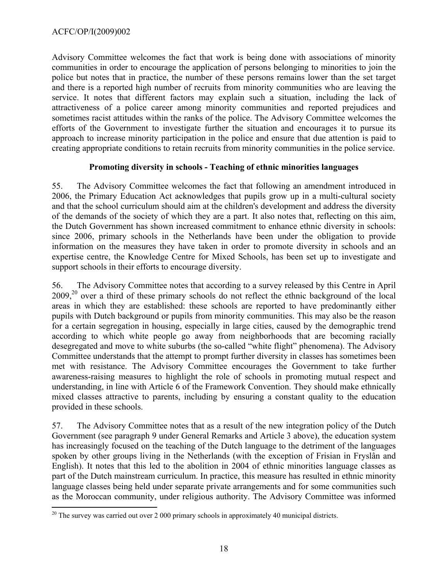Advisory Committee welcomes the fact that work is being done with associations of minority communities in order to encourage the application of persons belonging to minorities to join the police but notes that in practice, the number of these persons remains lower than the set target and there is a reported high number of recruits from minority communities who are leaving the service. It notes that different factors may explain such a situation, including the lack of attractiveness of a police career among minority communities and reported prejudices and sometimes racist attitudes within the ranks of the police. The Advisory Committee welcomes the efforts of the Government to investigate further the situation and encourages it to pursue its approach to increase minority participation in the police and ensure that due attention is paid to creating appropriate conditions to retain recruits from minority communities in the police service.

### **Promoting diversity in schools - Teaching of ethnic minorities languages**

55. The Advisory Committee welcomes the fact that following an amendment introduced in 2006, the Primary Education Act acknowledges that pupils grow up in a multi-cultural society and that the school curriculum should aim at the children's development and address the diversity of the demands of the society of which they are a part. It also notes that, reflecting on this aim, the Dutch Government has shown increased commitment to enhance ethnic diversity in schools: since 2006, primary schools in the Netherlands have been under the obligation to provide information on the measures they have taken in order to promote diversity in schools and an expertise centre, the Knowledge Centre for Mixed Schools, has been set up to investigate and support schools in their efforts to encourage diversity.

56. The Advisory Committee notes that according to a survey released by this Centre in April  $2009<sup>20</sup>$  over a third of these primary schools do not reflect the ethnic background of the local areas in which they are established: these schools are reported to have predominantly either pupils with Dutch background or pupils from minority communities. This may also be the reason for a certain segregation in housing, especially in large cities, caused by the demographic trend according to which white people go away from neighborhoods that are becoming racially desegregated and move to white suburbs (the so-called "white flight" phenomena). The Advisory Committee understands that the attempt to prompt further diversity in classes has sometimes been met with resistance. The Advisory Committee encourages the Government to take further awareness-raising measures to highlight the role of schools in promoting mutual respect and understanding, in line with Article 6 of the Framework Convention. They should make ethnically mixed classes attractive to parents, including by ensuring a constant quality to the education provided in these schools.

57. The Advisory Committee notes that as a result of the new integration policy of the Dutch Government (see paragraph 9 under General Remarks and Article 3 above), the education system has increasingly focused on the teaching of the Dutch language to the detriment of the languages spoken by other groups living in the Netherlands (with the exception of Frisian in Fryslân and English). It notes that this led to the abolition in 2004 of ethnic minorities language classes as part of the Dutch mainstream curriculum. In practice, this measure has resulted in ethnic minority language classes being held under separate private arrangements and for some communities such as the Moroccan community, under religious authority. The Advisory Committee was informed

 $\overline{a}$  $20$  The survey was carried out over 2 000 primary schools in approximately 40 municipal districts.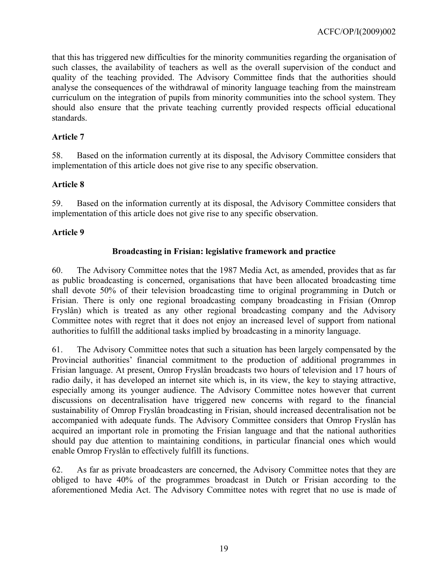that this has triggered new difficulties for the minority communities regarding the organisation of such classes, the availability of teachers as well as the overall supervision of the conduct and quality of the teaching provided. The Advisory Committee finds that the authorities should analyse the consequences of the withdrawal of minority language teaching from the mainstream curriculum on the integration of pupils from minority communities into the school system. They should also ensure that the private teaching currently provided respects official educational standards.

### **Article 7**

58. Based on the information currently at its disposal, the Advisory Committee considers that implementation of this article does not give rise to any specific observation.

### **Article 8**

59. Based on the information currently at its disposal, the Advisory Committee considers that implementation of this article does not give rise to any specific observation.

### **Article 9**

### **Broadcasting in Frisian: legislative framework and practice**

60. The Advisory Committee notes that the 1987 Media Act, as amended, provides that as far as public broadcasting is concerned, organisations that have been allocated broadcasting time shall devote 50% of their television broadcasting time to original programming in Dutch or Frisian. There is only one regional broadcasting company broadcasting in Frisian (Omrop Fryslân) which is treated as any other regional broadcasting company and the Advisory Committee notes with regret that it does not enjoy an increased level of support from national authorities to fulfill the additional tasks implied by broadcasting in a minority language.

61. The Advisory Committee notes that such a situation has been largely compensated by the Provincial authorities' financial commitment to the production of additional programmes in Frisian language. At present, Omrop Fryslân broadcasts two hours of television and 17 hours of radio daily, it has developed an internet site which is, in its view, the key to staying attractive, especially among its younger audience. The Advisory Committee notes however that current discussions on decentralisation have triggered new concerns with regard to the financial sustainability of Omrop Fryslân broadcasting in Frisian, should increased decentralisation not be accompanied with adequate funds. The Advisory Committee considers that Omrop Fryslân has acquired an important role in promoting the Frisian language and that the national authorities should pay due attention to maintaining conditions, in particular financial ones which would enable Omrop Fryslân to effectively fulfill its functions.

62. As far as private broadcasters are concerned, the Advisory Committee notes that they are obliged to have 40% of the programmes broadcast in Dutch or Frisian according to the aforementioned Media Act. The Advisory Committee notes with regret that no use is made of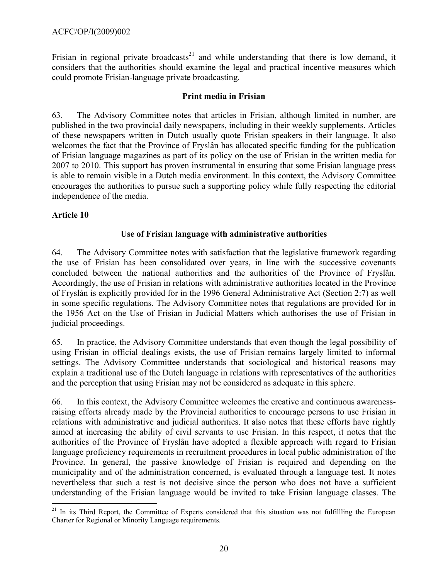Frisian in regional private broadcasts<sup>21</sup> and while understanding that there is low demand, it considers that the authorities should examine the legal and practical incentive measures which could promote Frisian-language private broadcasting.

### **Print media in Frisian**

63. The Advisory Committee notes that articles in Frisian, although limited in number, are published in the two provincial daily newspapers, including in their weekly supplements. Articles of these newspapers written in Dutch usually quote Frisian speakers in their language. It also welcomes the fact that the Province of Fryslân has allocated specific funding for the publication of Frisian language magazines as part of its policy on the use of Frisian in the written media for 2007 to 2010. This support has proven instrumental in ensuring that some Frisian language press is able to remain visible in a Dutch media environment. In this context, the Advisory Committee encourages the authorities to pursue such a supporting policy while fully respecting the editorial independence of the media.

### **Article 10**

# **Use of Frisian language with administrative authorities**

64. The Advisory Committee notes with satisfaction that the legislative framework regarding the use of Frisian has been consolidated over years, in line with the successive covenants concluded between the national authorities and the authorities of the Province of Fryslân. Accordingly, the use of Frisian in relations with administrative authorities located in the Province of Fryslân is explicitly provided for in the 1996 General Administrative Act (Section 2:7) as well in some specific regulations. The Advisory Committee notes that regulations are provided for in the 1956 Act on the Use of Frisian in Judicial Matters which authorises the use of Frisian in judicial proceedings.

65. In practice, the Advisory Committee understands that even though the legal possibility of using Frisian in official dealings exists, the use of Frisian remains largely limited to informal settings. The Advisory Committee understands that sociological and historical reasons may explain a traditional use of the Dutch language in relations with representatives of the authorities and the perception that using Frisian may not be considered as adequate in this sphere.

66. In this context, the Advisory Committee welcomes the creative and continuous awarenessraising efforts already made by the Provincial authorities to encourage persons to use Frisian in relations with administrative and judicial authorities. It also notes that these efforts have rightly aimed at increasing the ability of civil servants to use Frisian. In this respect, it notes that the authorities of the Province of Fryslân have adopted a flexible approach with regard to Frisian language proficiency requirements in recruitment procedures in local public administration of the Province. In general, the passive knowledge of Frisian is required and depending on the municipality and of the administration concerned, is evaluated through a language test. It notes nevertheless that such a test is not decisive since the person who does not have a sufficient understanding of the Frisian language would be invited to take Frisian language classes. The

 $\overline{a}$  $21$  In its Third Report, the Committee of Experts considered that this situation was not fulfillling the European Charter for Regional or Minority Language requirements.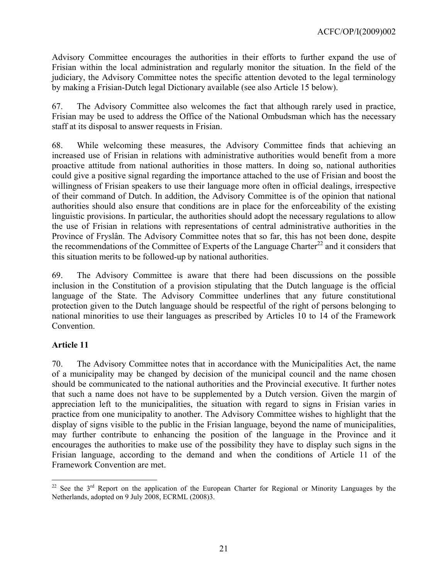Advisory Committee encourages the authorities in their efforts to further expand the use of Frisian within the local administration and regularly monitor the situation. In the field of the judiciary, the Advisory Committee notes the specific attention devoted to the legal terminology by making a Frisian-Dutch legal Dictionary available (see also Article 15 below).

67. The Advisory Committee also welcomes the fact that although rarely used in practice, Frisian may be used to address the Office of the National Ombudsman which has the necessary staff at its disposal to answer requests in Frisian.

68. While welcoming these measures, the Advisory Committee finds that achieving an increased use of Frisian in relations with administrative authorities would benefit from a more proactive attitude from national authorities in those matters. In doing so, national authorities could give a positive signal regarding the importance attached to the use of Frisian and boost the willingness of Frisian speakers to use their language more often in official dealings, irrespective of their command of Dutch. In addition, the Advisory Committee is of the opinion that national authorities should also ensure that conditions are in place for the enforceability of the existing linguistic provisions. In particular, the authorities should adopt the necessary regulations to allow the use of Frisian in relations with representations of central administrative authorities in the Province of Fryslân. The Advisory Committee notes that so far, this has not been done, despite the recommendations of the Committee of Experts of the Language Charter<sup>22</sup> and it considers that this situation merits to be followed-up by national authorities.

69. The Advisory Committee is aware that there had been discussions on the possible inclusion in the Constitution of a provision stipulating that the Dutch language is the official language of the State. The Advisory Committee underlines that any future constitutional protection given to the Dutch language should be respectful of the right of persons belonging to national minorities to use their languages as prescribed by Articles 10 to 14 of the Framework Convention.

# **Article 11**

70. The Advisory Committee notes that in accordance with the Municipalities Act, the name of a municipality may be changed by decision of the municipal council and the name chosen should be communicated to the national authorities and the Provincial executive. It further notes that such a name does not have to be supplemented by a Dutch version. Given the margin of appreciation left to the municipalities, the situation with regard to signs in Frisian varies in practice from one municipality to another. The Advisory Committee wishes to highlight that the display of signs visible to the public in the Frisian language, beyond the name of municipalities, may further contribute to enhancing the position of the language in the Province and it encourages the authorities to make use of the possibility they have to display such signs in the Frisian language, according to the demand and when the conditions of Article 11 of the Framework Convention are met.

 $\overline{a}$ <sup>22</sup> See the  $3<sup>rd</sup>$  Report on the application of the European Charter for Regional or Minority Languages by the Netherlands, adopted on 9 July 2008, ECRML (2008)3.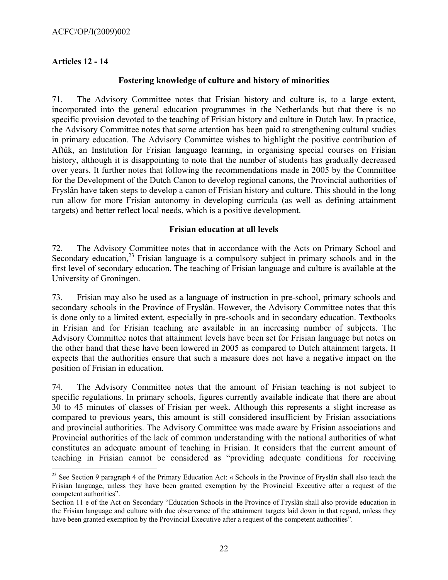# **Articles 12 - 14**

 $\overline{a}$ 

### **Fostering knowledge of culture and history of minorities**

71. The Advisory Committee notes that Frisian history and culture is, to a large extent, incorporated into the general education programmes in the Netherlands but that there is no specific provision devoted to the teaching of Frisian history and culture in Dutch law. In practice, the Advisory Committee notes that some attention has been paid to strengthening cultural studies in primary education. The Advisory Committee wishes to highlight the positive contribution of Aftûk, an Institution for Frisian language learning, in organising special courses on Frisian history, although it is disappointing to note that the number of students has gradually decreased over years. It further notes that following the recommendations made in 2005 by the Committee for the Development of the Dutch Canon to develop regional canons, the Provincial authorities of Fryslân have taken steps to develop a canon of Frisian history and culture. This should in the long run allow for more Frisian autonomy in developing curricula (as well as defining attainment targets) and better reflect local needs, which is a positive development.

### **Frisian education at all levels**

72. The Advisory Committee notes that in accordance with the Acts on Primary School and Secondary education, $^{23}$  Frisian language is a compulsory subject in primary schools and in the first level of secondary education. The teaching of Frisian language and culture is available at the University of Groningen.

73. Frisian may also be used as a language of instruction in pre-school, primary schools and secondary schools in the Province of Fryslân. However, the Advisory Committee notes that this is done only to a limited extent, especially in pre-schools and in secondary education. Textbooks in Frisian and for Frisian teaching are available in an increasing number of subjects. The Advisory Committee notes that attainment levels have been set for Frisian language but notes on the other hand that these have been lowered in 2005 as compared to Dutch attainment targets. It expects that the authorities ensure that such a measure does not have a negative impact on the position of Frisian in education.

74. The Advisory Committee notes that the amount of Frisian teaching is not subject to specific regulations. In primary schools, figures currently available indicate that there are about 30 to 45 minutes of classes of Frisian per week. Although this represents a slight increase as compared to previous years, this amount is still considered insufficient by Frisian associations and provincial authorities. The Advisory Committee was made aware by Frisian associations and Provincial authorities of the lack of common understanding with the national authorities of what constitutes an adequate amount of teaching in Frisian. It considers that the current amount of teaching in Frisian cannot be considered as "providing adequate conditions for receiving

<sup>&</sup>lt;sup>23</sup> See Section 9 paragraph 4 of the Primary Education Act: « Schools in the Province of Fryslân shall also teach the Frisian language, unless they have been granted exemption by the Provincial Executive after a request of the competent authorities".

Section 11 e of the Act on Secondary "Education Schools in the Province of Fryslân shall also provide education in the Frisian language and culture with due observance of the attainment targets laid down in that regard, unless they have been granted exemption by the Provincial Executive after a request of the competent authorities".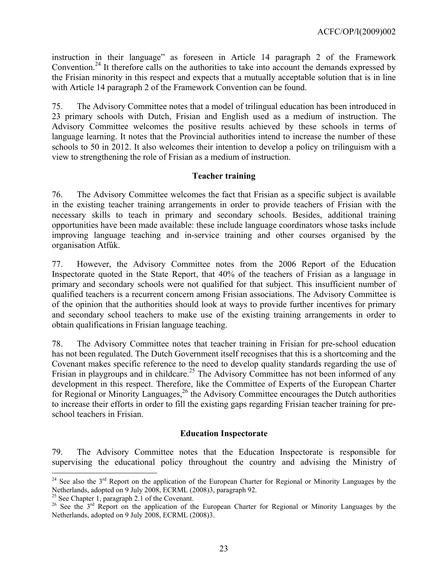instruction in their language" as foreseen in Article 14 paragraph 2 of the Framework Convention.<sup>24</sup> It therefore calls on the authorities to take into account the demands expressed by the Frisian minority in this respect and expects that a mutually acceptable solution that is in line with Article 14 paragraph 2 of the Framework Convention can be found.

75. The Advisory Committee notes that a model of trilingual education has been introduced in 23 primary schools with Dutch, Frisian and English used as a medium of instruction. The Advisory Committee welcomes the positive results achieved by these schools in terms of language learning. It notes that the Provincial authorities intend to increase the number of these schools to 50 in 2012. It also welcomes their intention to develop a policy on trilinguism with a view to strengthening the role of Frisian as a medium of instruction.

# **Teacher training**

76. The Advisory Committee welcomes the fact that Frisian as a specific subject is available in the existing teacher training arrangements in order to provide teachers of Frisian with the necessary skills to teach in primary and secondary schools. Besides, additional training opportunities have been made available: these include language coordinators whose tasks include improving language teaching and in-service training and other courses organised by the organisation Atfûk.

77. However, the Advisory Committee notes from the 2006 Report of the Education Inspectorate quoted in the State Report, that 40% of the teachers of Frisian as a language in primary and secondary schools were not qualified for that subject. This insufficient number of qualified teachers is a recurrent concern among Frisian associations. The Advisory Committee is of the opinion that the authorities should look at ways to provide further incentives for primary and secondary school teachers to make use of the existing training arrangements in order to obtain qualifications in Frisian language teaching.

78. The Advisory Committee notes that teacher training in Frisian for pre-school education has not been regulated. The Dutch Government itself recognises that this is a shortcoming and the Covenant makes specific reference to the need to develop quality standards regarding the use of Frisian in playgroups and in childcare.<sup>25</sup> The Advisory Committee has not been informed of any development in this respect. Therefore, like the Committee of Experts of the European Charter for Regional or Minority Languages,  $^{26}$  the Advisory Committee encourages the Dutch authorities to increase their efforts in order to fill the existing gaps regarding Frisian teacher training for preschool teachers in Frisian.

# **Education Inspectorate**

79. The Advisory Committee notes that the Education Inspectorate is responsible for supervising the educational policy throughout the country and advising the Ministry of

 $\overline{a}$ 

<sup>&</sup>lt;sup>24</sup> See also the  $3<sup>rd</sup>$  Report on the application of the European Charter for Regional or Minority Languages by the Netherlands, adopted on 9 July 2008, ECRML (2008)3, paragraph 92.

<sup>&</sup>lt;sup>25</sup> See Chapter 1, paragraph 2.1 of the Covenant.

<sup>&</sup>lt;sup>26</sup> See the 3<sup>rd</sup> Report on the application of the European Charter for Regional or Minority Languages by the Netherlands, adopted on 9 July 2008, ECRML (2008)3.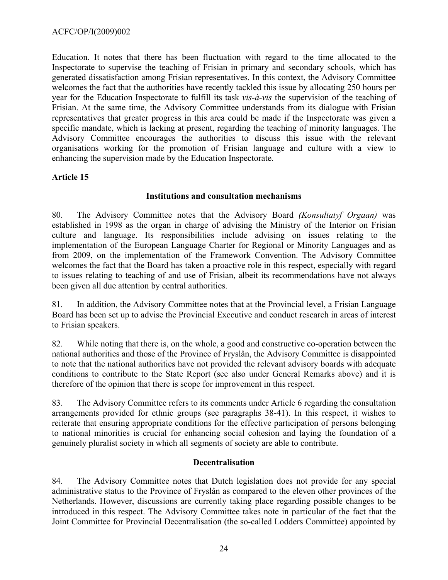Education. It notes that there has been fluctuation with regard to the time allocated to the Inspectorate to supervise the teaching of Frisian in primary and secondary schools, which has generated dissatisfaction among Frisian representatives. In this context, the Advisory Committee welcomes the fact that the authorities have recently tackled this issue by allocating 250 hours per year for the Education Inspectorate to fulfill its task *vis-à-vis* the supervision of the teaching of Frisian. At the same time, the Advisory Committee understands from its dialogue with Frisian representatives that greater progress in this area could be made if the Inspectorate was given a specific mandate, which is lacking at present, regarding the teaching of minority languages. The Advisory Committee encourages the authorities to discuss this issue with the relevant organisations working for the promotion of Frisian language and culture with a view to enhancing the supervision made by the Education Inspectorate.

# **Article 15**

### **Institutions and consultation mechanisms**

80. The Advisory Committee notes that the Advisory Board *(Konsultatyf Orgaan)* was established in 1998 as the organ in charge of advising the Ministry of the Interior on Frisian culture and language. Its responsibilities include advising on issues relating to the implementation of the European Language Charter for Regional or Minority Languages and as from 2009, on the implementation of the Framework Convention. The Advisory Committee welcomes the fact that the Board has taken a proactive role in this respect, especially with regard to issues relating to teaching of and use of Frisian, albeit its recommendations have not always been given all due attention by central authorities.

81. In addition, the Advisory Committee notes that at the Provincial level, a Frisian Language Board has been set up to advise the Provincial Executive and conduct research in areas of interest to Frisian speakers.

82. While noting that there is, on the whole, a good and constructive co-operation between the national authorities and those of the Province of Fryslân, the Advisory Committee is disappointed to note that the national authorities have not provided the relevant advisory boards with adequate conditions to contribute to the State Report (see also under General Remarks above) and it is therefore of the opinion that there is scope for improvement in this respect.

83. The Advisory Committee refers to its comments under Article 6 regarding the consultation arrangements provided for ethnic groups (see paragraphs 38-41). In this respect, it wishes to reiterate that ensuring appropriate conditions for the effective participation of persons belonging to national minorities is crucial for enhancing social cohesion and laying the foundation of a genuinely pluralist society in which all segments of society are able to contribute.

#### **Decentralisation**

84. The Advisory Committee notes that Dutch legislation does not provide for any special administrative status to the Province of Fryslân as compared to the eleven other provinces of the Netherlands. However, discussions are currently taking place regarding possible changes to be introduced in this respect. The Advisory Committee takes note in particular of the fact that the Joint Committee for Provincial Decentralisation (the so-called Lodders Committee) appointed by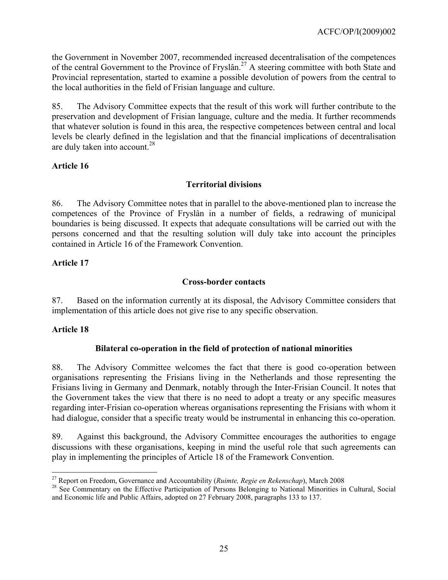the Government in November 2007, recommended increased decentralisation of the competences of the central Government to the Province of Fryslân.27 A steering committee with both State and Provincial representation, started to examine a possible devolution of powers from the central to the local authorities in the field of Frisian language and culture.

85. The Advisory Committee expects that the result of this work will further contribute to the preservation and development of Frisian language, culture and the media. It further recommends that whatever solution is found in this area, the respective competences between central and local levels be clearly defined in the legislation and that the financial implications of decentralisation are duly taken into account.  $28$ 

# **Article 16**

### **Territorial divisions**

86. The Advisory Committee notes that in parallel to the above-mentioned plan to increase the competences of the Province of Fryslân in a number of fields, a redrawing of municipal boundaries is being discussed. It expects that adequate consultations will be carried out with the persons concerned and that the resulting solution will duly take into account the principles contained in Article 16 of the Framework Convention.

### **Article 17**

### **Cross-border contacts**

87. Based on the information currently at its disposal, the Advisory Committee considers that implementation of this article does not give rise to any specific observation.

#### **Article 18**

 $\overline{a}$ 

# **Bilateral co-operation in the field of protection of national minorities**

88. The Advisory Committee welcomes the fact that there is good co-operation between organisations representing the Frisians living in the Netherlands and those representing the Frisians living in Germany and Denmark, notably through the Inter-Frisian Council. It notes that the Government takes the view that there is no need to adopt a treaty or any specific measures regarding inter-Frisian co-operation whereas organisations representing the Frisians with whom it had dialogue, consider that a specific treaty would be instrumental in enhancing this co-operation.

89. Against this background, the Advisory Committee encourages the authorities to engage discussions with these organisations, keeping in mind the useful role that such agreements can play in implementing the principles of Article 18 of the Framework Convention.

<sup>&</sup>lt;sup>27</sup> Report on Freedom, Governance and Accountability (*Ruimte, Regie en Rekenschap*), March 2008<br><sup>28</sup> See Commentary on the Effective Participation of Persons Belonging to National Minorities in Cultural, Social and Economic life and Public Affairs, adopted on 27 February 2008, paragraphs 133 to 137.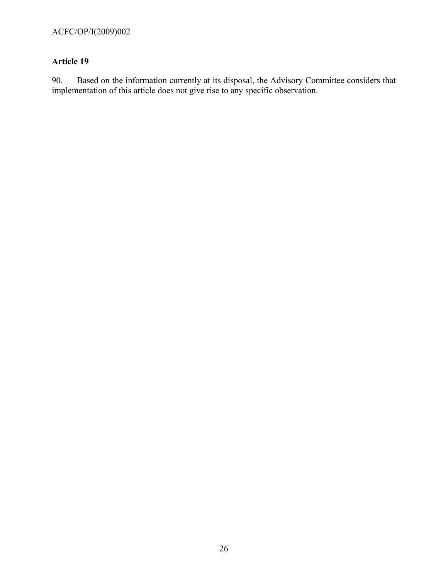# **Article 19**

90. Based on the information currently at its disposal, the Advisory Committee considers that implementation of this article does not give rise to any specific observation.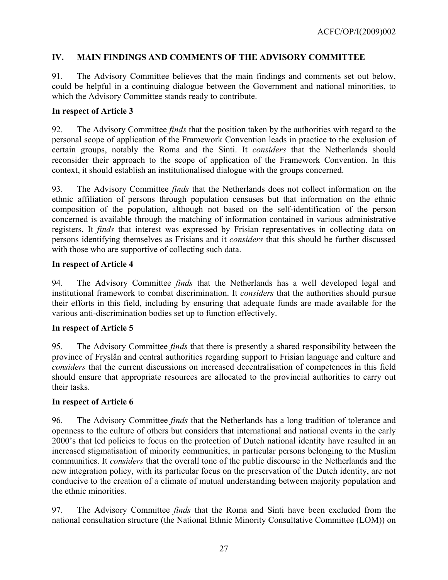# **IV. MAIN FINDINGS AND COMMENTS OF THE ADVISORY COMMITTEE**

91. The Advisory Committee believes that the main findings and comments set out below, could be helpful in a continuing dialogue between the Government and national minorities, to which the Advisory Committee stands ready to contribute.

### **In respect of Article 3**

92. The Advisory Committee *finds* that the position taken by the authorities with regard to the personal scope of application of the Framework Convention leads in practice to the exclusion of certain groups, notably the Roma and the Sinti. It *considers* that the Netherlands should reconsider their approach to the scope of application of the Framework Convention. In this context, it should establish an institutionalised dialogue with the groups concerned.

93. The Advisory Committee *finds* that the Netherlands does not collect information on the ethnic affiliation of persons through population censuses but that information on the ethnic composition of the population, although not based on the self-identification of the person concerned is available through the matching of information contained in various administrative registers. It *finds* that interest was expressed by Frisian representatives in collecting data on persons identifying themselves as Frisians and it *considers* that this should be further discussed with those who are supportive of collecting such data.

#### **In respect of Article 4**

94. The Advisory Committee *finds* that the Netherlands has a well developed legal and institutional framework to combat discrimination. It *considers* that the authorities should pursue their efforts in this field, including by ensuring that adequate funds are made available for the various anti-discrimination bodies set up to function effectively.

# **In respect of Article 5**

95. The Advisory Committee *finds* that there is presently a shared responsibility between the province of Fryslân and central authorities regarding support to Frisian language and culture and *considers* that the current discussions on increased decentralisation of competences in this field should ensure that appropriate resources are allocated to the provincial authorities to carry out their tasks.

# **In respect of Article 6**

96. The Advisory Committee *finds* that the Netherlands has a long tradition of tolerance and openness to the culture of others but considers that international and national events in the early 2000's that led policies to focus on the protection of Dutch national identity have resulted in an increased stigmatisation of minority communities, in particular persons belonging to the Muslim communities. It *considers* that the overall tone of the public discourse in the Netherlands and the new integration policy, with its particular focus on the preservation of the Dutch identity, are not conducive to the creation of a climate of mutual understanding between majority population and the ethnic minorities.

97. The Advisory Committee *finds* that the Roma and Sinti have been excluded from the national consultation structure (the National Ethnic Minority Consultative Committee (LOM)) on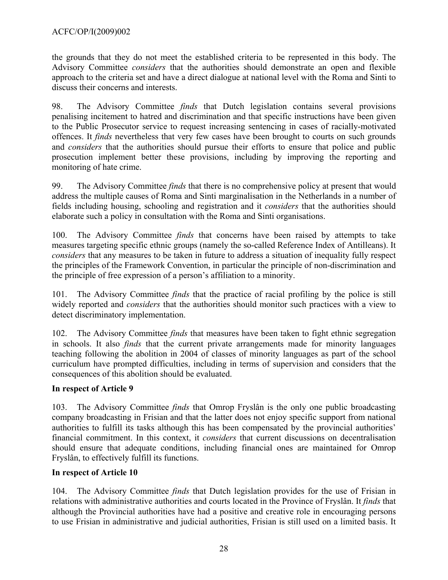the grounds that they do not meet the established criteria to be represented in this body. The Advisory Committee *considers* that the authorities should demonstrate an open and flexible approach to the criteria set and have a direct dialogue at national level with the Roma and Sinti to discuss their concerns and interests.

98. The Advisory Committee *finds* that Dutch legislation contains several provisions penalising incitement to hatred and discrimination and that specific instructions have been given to the Public Prosecutor service to request increasing sentencing in cases of racially-motivated offences. It *finds* nevertheless that very few cases have been brought to courts on such grounds and *considers* that the authorities should pursue their efforts to ensure that police and public prosecution implement better these provisions, including by improving the reporting and monitoring of hate crime.

99. The Advisory Committee *finds* that there is no comprehensive policy at present that would address the multiple causes of Roma and Sinti marginalisation in the Netherlands in a number of fields including housing, schooling and registration and it *considers* that the authorities should elaborate such a policy in consultation with the Roma and Sinti organisations.

100. The Advisory Committee *finds* that concerns have been raised by attempts to take measures targeting specific ethnic groups (namely the so-called Reference Index of Antilleans). It *considers* that any measures to be taken in future to address a situation of inequality fully respect the principles of the Framework Convention, in particular the principle of non-discrimination and the principle of free expression of a person's affiliation to a minority.

101. The Advisory Committee *finds* that the practice of racial profiling by the police is still widely reported and *considers* that the authorities should monitor such practices with a view to detect discriminatory implementation.

102. The Advisory Committee *finds* that measures have been taken to fight ethnic segregation in schools. It also *finds* that the current private arrangements made for minority languages teaching following the abolition in 2004 of classes of minority languages as part of the school curriculum have prompted difficulties, including in terms of supervision and considers that the consequences of this abolition should be evaluated.

# **In respect of Article 9**

103. The Advisory Committee *finds* that Omrop Fryslân is the only one public broadcasting company broadcasting in Frisian and that the latter does not enjoy specific support from national authorities to fulfill its tasks although this has been compensated by the provincial authorities' financial commitment. In this context, it *considers* that current discussions on decentralisation should ensure that adequate conditions, including financial ones are maintained for Omrop Fryslân, to effectively fulfill its functions.

# **In respect of Article 10**

104. The Advisory Committee *finds* that Dutch legislation provides for the use of Frisian in relations with administrative authorities and courts located in the Province of Fryslân. It *finds* that although the Provincial authorities have had a positive and creative role in encouraging persons to use Frisian in administrative and judicial authorities, Frisian is still used on a limited basis. It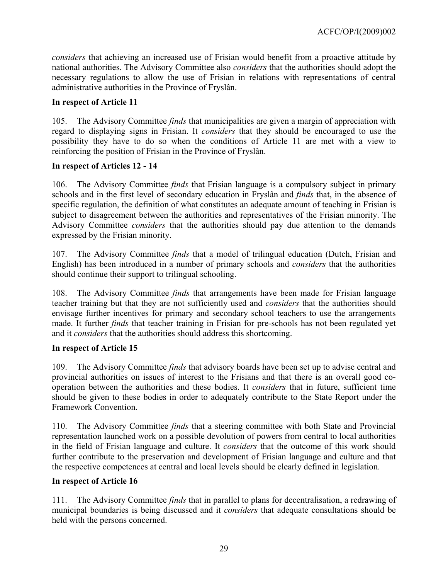*considers* that achieving an increased use of Frisian would benefit from a proactive attitude by national authorities. The Advisory Committee also *considers* that the authorities should adopt the necessary regulations to allow the use of Frisian in relations with representations of central administrative authorities in the Province of Fryslân.

### **In respect of Article 11**

105. The Advisory Committee *finds* that municipalities are given a margin of appreciation with regard to displaying signs in Frisian. It *considers* that they should be encouraged to use the possibility they have to do so when the conditions of Article 11 are met with a view to reinforcing the position of Frisian in the Province of Fryslân.

### **In respect of Articles 12 - 14**

106. The Advisory Committee *finds* that Frisian language is a compulsory subject in primary schools and in the first level of secondary education in Fryslân and *finds* that, in the absence of specific regulation, the definition of what constitutes an adequate amount of teaching in Frisian is subject to disagreement between the authorities and representatives of the Frisian minority. The Advisory Committee *considers* that the authorities should pay due attention to the demands expressed by the Frisian minority.

107. The Advisory Committee *finds* that a model of trilingual education (Dutch, Frisian and English) has been introduced in a number of primary schools and *considers* that the authorities should continue their support to trilingual schooling.

108. The Advisory Committee *finds* that arrangements have been made for Frisian language teacher training but that they are not sufficiently used and *considers* that the authorities should envisage further incentives for primary and secondary school teachers to use the arrangements made. It further *finds* that teacher training in Frisian for pre-schools has not been regulated yet and it *considers* that the authorities should address this shortcoming.

# **In respect of Article 15**

109. The Advisory Committee *finds* that advisory boards have been set up to advise central and provincial authorities on issues of interest to the Frisians and that there is an overall good cooperation between the authorities and these bodies. It *considers* that in future, sufficient time should be given to these bodies in order to adequately contribute to the State Report under the Framework Convention.

110. The Advisory Committee *finds* that a steering committee with both State and Provincial representation launched work on a possible devolution of powers from central to local authorities in the field of Frisian language and culture. It *considers* that the outcome of this work should further contribute to the preservation and development of Frisian language and culture and that the respective competences at central and local levels should be clearly defined in legislation.

# **In respect of Article 16**

111. The Advisory Committee *finds* that in parallel to plans for decentralisation, a redrawing of municipal boundaries is being discussed and it *considers* that adequate consultations should be held with the persons concerned.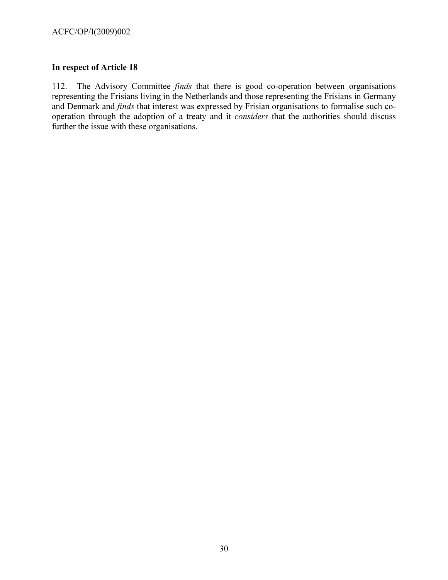# **In respect of Article 18**

112. The Advisory Committee *finds* that there is good co-operation between organisations representing the Frisians living in the Netherlands and those representing the Frisians in Germany and Denmark and *finds* that interest was expressed by Frisian organisations to formalise such cooperation through the adoption of a treaty and it *considers* that the authorities should discuss further the issue with these organisations.